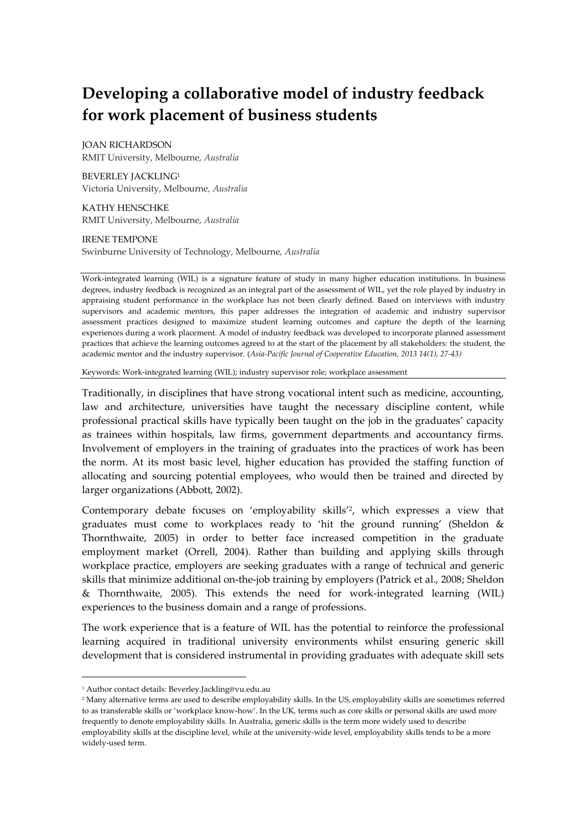# **Developing a collaborative model of industry feedback for work placement of business students**

JOAN RICHARDSON RMIT University, Melbourne, *Australia*

BEVERLEY JACKLING<sup>1</sup> Victoria University, Melbourne*, Australia*

KATHY HENSCHKE RMIT University, Melbourne, *Australia*

IRENE TEMPONE

Swinburne University of Technology, Melbourne*, Australia*

Work-integrated learning (WIL) is a signature feature of study in many higher education institutions. In business degrees, industry feedback is recognized as an integral part of the assessment of WIL, yet the role played by industry in appraising student performance in the workplace has not been clearly defined. Based on interviews with industry supervisors and academic mentors, this paper addresses the integration of academic and industry supervisor assessment practices designed to maximize student learning outcomes and capture the depth of the learning experiences during a work placement. A model of industry feedback was developed to incorporate planned assessment practices that achieve the learning outcomes agreed to at the start of the placement by all stakeholders: the student, the academic mentor and the industry supervisor. (*Asia-Pacific Journal of Cooperative Education, 2013 14(1), 27-43)*

Keywords: Work-integrated learning (WIL); industry supervisor role; workplace assessment

Traditionally, in disciplines that have strong vocational intent such as medicine, accounting, law and architecture, universities have taught the necessary discipline content, while professional practical skills have typically been taught on the job in the graduates' capacity as trainees within hospitals, law firms, government departments and accountancy firms. Involvement of employers in the training of graduates into the practices of work has been the norm. At its most basic level, higher education has provided the staffing function of allocating and sourcing potential employees, who would then be trained and directed by larger organizations (Abbott, 2002).

Contemporary debate focuses on 'employability skills'<sup>2</sup> , which expresses a view that graduates must come to workplaces ready to 'hit the ground running' (Sheldon & Thornthwaite, 2005) in order to better face increased competition in the graduate employment market (Orrell, 2004). Rather than building and applying skills through workplace practice, employers are seeking graduates with a range of technical and generic skills that minimize additional on-the-job training by employers (Patrick et al., 2008; Sheldon & Thornthwaite, 2005). This extends the need for work-integrated learning (WIL) experiences to the business domain and a range of professions.

The work experience that is a feature of WIL has the potential to reinforce the professional learning acquired in traditional university environments whilst ensuring generic skill development that is considered instrumental in providing graduates with adequate skill sets

 $\overline{a}$ 

<sup>1</sup> Author contact details: Beverley.Jackling@vu.edu.au

<sup>2</sup> Many alternative terms are used to describe employability skills. In the US, employability skills are sometimes referred to as transferable skills or 'workplace know-how'. In the UK, terms such as core skills or personal skills are used more frequently to denote employability skills. In Australia, generic skills is the term more widely used to describe employability skills at the discipline level, while at the university-wide level, employability skills tends to be a more widely-used term.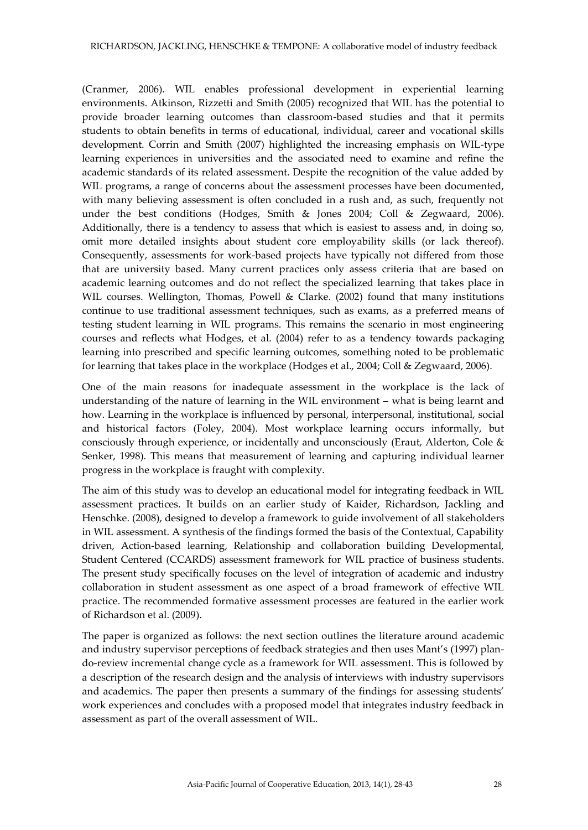(Cranmer, 2006). WIL enables professional development in experiential learning environments. Atkinson, Rizzetti and Smith (2005) recognized that WIL has the potential to provide broader learning outcomes than classroom-based studies and that it permits students to obtain benefits in terms of educational, individual, career and vocational skills development. Corrin and Smith (2007) highlighted the increasing emphasis on WIL-type learning experiences in universities and the associated need to examine and refine the academic standards of its related assessment. Despite the recognition of the value added by WIL programs, a range of concerns about the assessment processes have been documented, with many believing assessment is often concluded in a rush and, as such, frequently not under the best conditions (Hodges, Smith & Jones 2004; Coll & Zegwaard, 2006). Additionally, there is a tendency to assess that which is easiest to assess and, in doing so, omit more detailed insights about student core employability skills (or lack thereof). Consequently, assessments for work-based projects have typically not differed from those that are university based. Many current practices only assess criteria that are based on academic learning outcomes and do not reflect the specialized learning that takes place in WIL courses. Wellington, Thomas, Powell & Clarke. (2002) found that many institutions continue to use traditional assessment techniques, such as exams, as a preferred means of testing student learning in WIL programs. This remains the scenario in most engineering courses and reflects what Hodges, et al. (2004) refer to as a tendency towards packaging learning into prescribed and specific learning outcomes, something noted to be problematic for learning that takes place in the workplace (Hodges et al., 2004; Coll & Zegwaard, 2006).

One of the main reasons for inadequate assessment in the workplace is the lack of understanding of the nature of learning in the WIL environment – what is being learnt and how. Learning in the workplace is influenced by personal, interpersonal, institutional, social and historical factors (Foley, 2004). Most workplace learning occurs informally, but consciously through experience, or incidentally and unconsciously (Eraut, Alderton, Cole & Senker, 1998). This means that measurement of learning and capturing individual learner progress in the workplace is fraught with complexity.

The aim of this study was to develop an educational model for integrating feedback in WIL assessment practices. It builds on an earlier study of Kaider, Richardson, Jackling and Henschke. (2008), designed to develop a framework to guide involvement of all stakeholders in WIL assessment. A synthesis of the findings formed the basis of the Contextual, Capability driven, Action-based learning, Relationship and collaboration building Developmental, Student Centered (CCARDS) assessment framework for WIL practice of business students. The present study specifically focuses on the level of integration of academic and industry collaboration in student assessment as one aspect of a broad framework of effective WIL practice. The recommended formative assessment processes are featured in the earlier work of Richardson et al. (2009).

The paper is organized as follows: the next section outlines the literature around academic and industry supervisor perceptions of feedback strategies and then uses Mant's (1997) plando-review incremental change cycle as a framework for WIL assessment. This is followed by a description of the research design and the analysis of interviews with industry supervisors and academics. The paper then presents a summary of the findings for assessing students' work experiences and concludes with a proposed model that integrates industry feedback in assessment as part of the overall assessment of WIL.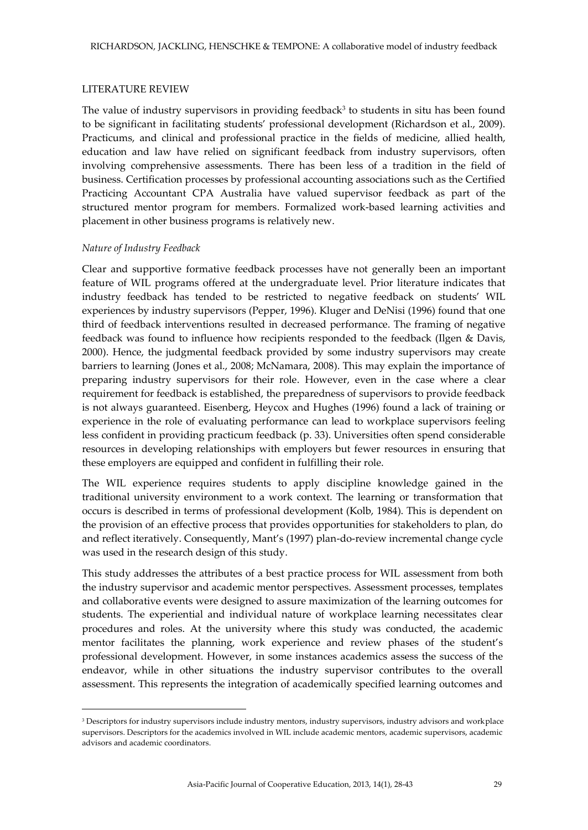### LITERATURE REVIEW

The value of industry supervisors in providing feedback<sup>3</sup> to students in situ has been found to be significant in facilitating students' professional development (Richardson et al., 2009). Practicums, and clinical and professional practice in the fields of medicine, allied health, education and law have relied on significant feedback from industry supervisors, often involving comprehensive assessments. There has been less of a tradition in the field of business. Certification processes by professional accounting associations such as the Certified Practicing Accountant CPA Australia have valued supervisor feedback as part of the structured mentor program for members. Formalized work-based learning activities and placement in other business programs is relatively new.

#### *Nature of Industry Feedback*

 $\overline{a}$ 

Clear and supportive formative feedback processes have not generally been an important feature of WIL programs offered at the undergraduate level. Prior literature indicates that industry feedback has tended to be restricted to negative feedback on students' WIL experiences by industry supervisors (Pepper, 1996). Kluger and DeNisi (1996) found that one third of feedback interventions resulted in decreased performance. The framing of negative feedback was found to influence how recipients responded to the feedback (Ilgen & Davis, 2000). Hence, the judgmental feedback provided by some industry supervisors may create barriers to learning (Jones et al., 2008; McNamara, 2008). This may explain the importance of preparing industry supervisors for their role. However, even in the case where a clear requirement for feedback is established, the preparedness of supervisors to provide feedback is not always guaranteed. Eisenberg, Heycox and Hughes (1996) found a lack of training or experience in the role of evaluating performance can lead to workplace supervisors feeling less confident in providing practicum feedback (p. 33). Universities often spend considerable resources in developing relationships with employers but fewer resources in ensuring that these employers are equipped and confident in fulfilling their role.

The WIL experience requires students to apply discipline knowledge gained in the traditional university environment to a work context. The learning or transformation that occurs is described in terms of professional development (Kolb, 1984). This is dependent on the provision of an effective process that provides opportunities for stakeholders to plan, do and reflect iteratively. Consequently, Mant's (1997) plan-do-review incremental change cycle was used in the research design of this study.

This study addresses the attributes of a best practice process for WIL assessment from both the industry supervisor and academic mentor perspectives. Assessment processes, templates and collaborative events were designed to assure maximization of the learning outcomes for students. The experiential and individual nature of workplace learning necessitates clear procedures and roles. At the university where this study was conducted, the academic mentor facilitates the planning, work experience and review phases of the student's professional development. However, in some instances academics assess the success of the endeavor, while in other situations the industry supervisor contributes to the overall assessment. This represents the integration of academically specified learning outcomes and

<sup>&</sup>lt;sup>3</sup> Descriptors for industry supervisors include industry mentors, industry supervisors, industry advisors and workplace supervisors. Descriptors for the academics involved in WIL include academic mentors, academic supervisors, academic advisors and academic coordinators.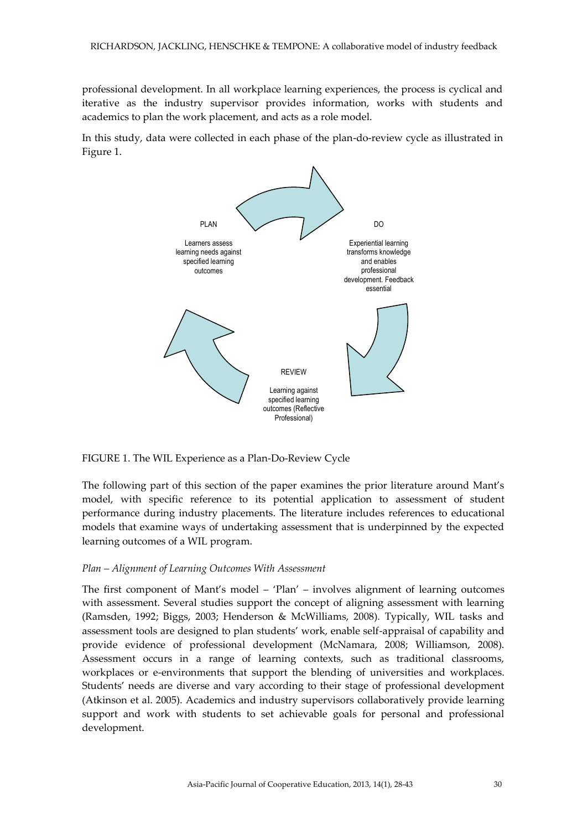professional development. In all workplace learning experiences, the process is cyclical and iterative as the industry supervisor provides information, works with students and academics to plan the work placement, and acts as a role model.

In this study, data were collected in each phase of the plan-do-review cycle as illustrated in Figure 1.



FIGURE 1. The WIL Experience as a Plan-Do-Review Cycle

The following part of this section of the paper examines the prior literature around Mant's model, with specific reference to its potential application to assessment of student performance during industry placements. The literature includes references to educational models that examine ways of undertaking assessment that is underpinned by the expected learning outcomes of a WIL program.

### *Plan – Alignment of Learning Outcomes With Assessment*

The first component of Mant's model – 'Plan' – involves alignment of learning outcomes with assessment. Several studies support the concept of aligning assessment with learning (Ramsden, 1992; Biggs, 2003; Henderson & McWilliams, 2008). Typically, WIL tasks and assessment tools are designed to plan students' work, enable self-appraisal of capability and provide evidence of professional development (McNamara, 2008; Williamson, 2008). Assessment occurs in a range of learning contexts, such as traditional classrooms, workplaces or e-environments that support the blending of universities and workplaces. Students' needs are diverse and vary according to their stage of professional development (Atkinson et al. 2005). Academics and industry supervisors collaboratively provide learning support and work with students to set achievable goals for personal and professional development.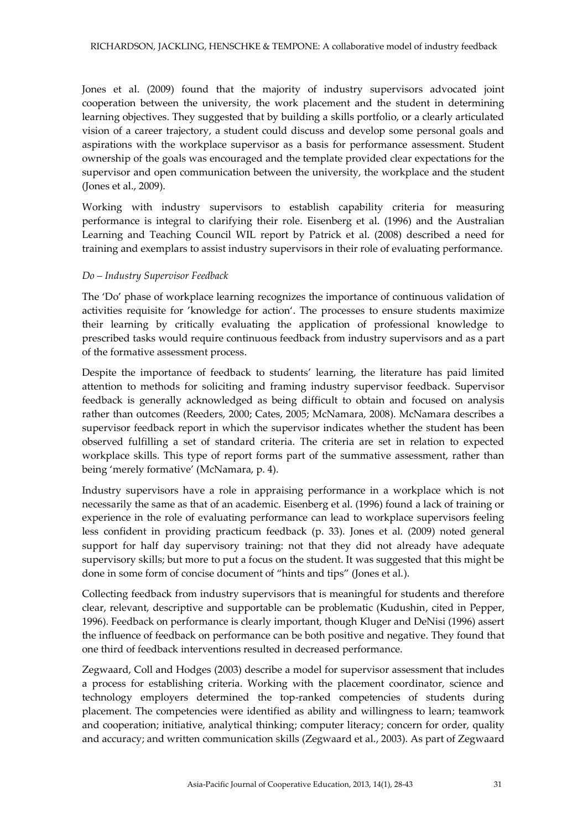Jones et al. (2009) found that the majority of industry supervisors advocated joint cooperation between the university, the work placement and the student in determining learning objectives. They suggested that by building a skills portfolio, or a clearly articulated vision of a career trajectory, a student could discuss and develop some personal goals and aspirations with the workplace supervisor as a basis for performance assessment. Student ownership of the goals was encouraged and the template provided clear expectations for the supervisor and open communication between the university, the workplace and the student (Jones et al., 2009).

Working with industry supervisors to establish capability criteria for measuring performance is integral to clarifying their role. Eisenberg et al. (1996) and the Australian Learning and Teaching Council WIL report by Patrick et al. (2008) described a need for training and exemplars to assist industry supervisors in their role of evaluating performance.

### *Do – Industry Supervisor Feedback*

The 'Do' phase of workplace learning recognizes the importance of continuous validation of activities requisite for 'knowledge for action'. The processes to ensure students maximize their learning by critically evaluating the application of professional knowledge to prescribed tasks would require continuous feedback from industry supervisors and as a part of the formative assessment process.

Despite the importance of feedback to students' learning, the literature has paid limited attention to methods for soliciting and framing industry supervisor feedback. Supervisor feedback is generally acknowledged as being difficult to obtain and focused on analysis rather than outcomes (Reeders, 2000; Cates, 2005; McNamara, 2008). McNamara describes a supervisor feedback report in which the supervisor indicates whether the student has been observed fulfilling a set of standard criteria. The criteria are set in relation to expected workplace skills. This type of report forms part of the summative assessment, rather than being 'merely formative' (McNamara, p. 4).

Industry supervisors have a role in appraising performance in a workplace which is not necessarily the same as that of an academic. Eisenberg et al. (1996) found a lack of training or experience in the role of evaluating performance can lead to workplace supervisors feeling less confident in providing practicum feedback (p. 33). Jones et al. (2009) noted general support for half day supervisory training: not that they did not already have adequate supervisory skills; but more to put a focus on the student. It was suggested that this might be done in some form of concise document of "hints and tips" (Jones et al.).

Collecting feedback from industry supervisors that is meaningful for students and therefore clear, relevant, descriptive and supportable can be problematic (Kudushin, cited in Pepper, 1996). Feedback on performance is clearly important, though Kluger and DeNisi (1996) assert the influence of feedback on performance can be both positive and negative. They found that one third of feedback interventions resulted in decreased performance.

Zegwaard, Coll and Hodges (2003) describe a model for supervisor assessment that includes a process for establishing criteria. Working with the placement coordinator, science and technology employers determined the top-ranked competencies of students during placement. The competencies were identified as ability and willingness to learn; teamwork and cooperation; initiative, analytical thinking; computer literacy; concern for order, quality and accuracy; and written communication skills (Zegwaard et al., 2003). As part of Zegwaard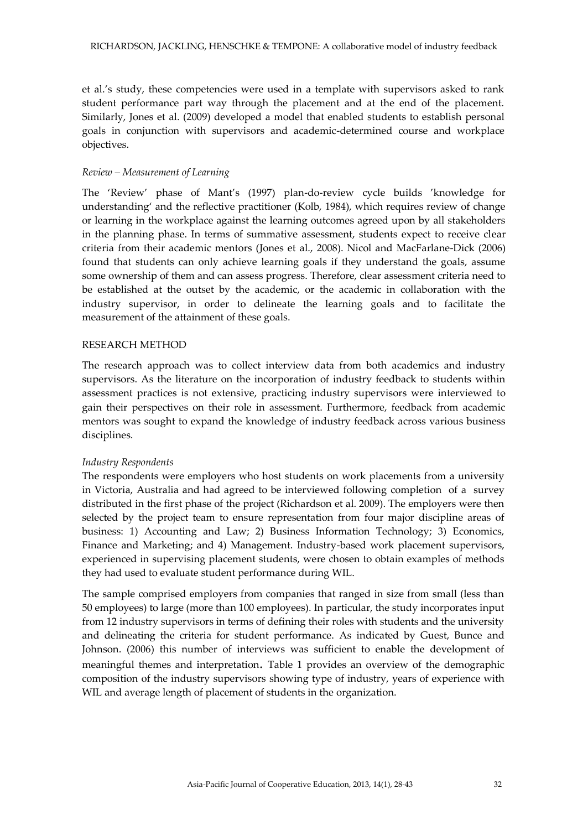et al.'s study, these competencies were used in a template with supervisors asked to rank student performance part way through the placement and at the end of the placement. Similarly, Jones et al. (2009) developed a model that enabled students to establish personal goals in conjunction with supervisors and academic-determined course and workplace objectives.

### *Review – Measurement of Learning*

The 'Review' phase of Mant's (1997) plan-do-review cycle builds 'knowledge for understanding' and the reflective practitioner (Kolb, 1984), which requires review of change or learning in the workplace against the learning outcomes agreed upon by all stakeholders in the planning phase. In terms of summative assessment, students expect to receive clear criteria from their academic mentors (Jones et al., 2008). Nicol and MacFarlane-Dick (2006) found that students can only achieve learning goals if they understand the goals, assume some ownership of them and can assess progress. Therefore, clear assessment criteria need to be established at the outset by the academic, or the academic in collaboration with the industry supervisor, in order to delineate the learning goals and to facilitate the measurement of the attainment of these goals.

### RESEARCH METHOD

The research approach was to collect interview data from both academics and industry supervisors. As the literature on the incorporation of industry feedback to students within assessment practices is not extensive, practicing industry supervisors were interviewed to gain their perspectives on their role in assessment. Furthermore, feedback from academic mentors was sought to expand the knowledge of industry feedback across various business disciplines.

### *Industry Respondents*

The respondents were employers who host students on work placements from a university in Victoria, Australia and had agreed to be interviewed following completion of a survey distributed in the first phase of the project (Richardson et al. 2009). The employers were then selected by the project team to ensure representation from four major discipline areas of business: 1) Accounting and Law; 2) Business Information Technology; 3) Economics, Finance and Marketing; and 4) Management. Industry-based work placement supervisors, experienced in supervising placement students, were chosen to obtain examples of methods they had used to evaluate student performance during WIL.

The sample comprised employers from companies that ranged in size from small (less than 50 employees) to large (more than 100 employees). In particular, the study incorporates input from 12 industry supervisors in terms of defining their roles with students and the university and delineating the criteria for student performance. As indicated by Guest, Bunce and Johnson. (2006) this number of interviews was sufficient to enable the development of meaningful themes and interpretation. Table 1 provides an overview of the demographic composition of the industry supervisors showing type of industry, years of experience with WIL and average length of placement of students in the organization.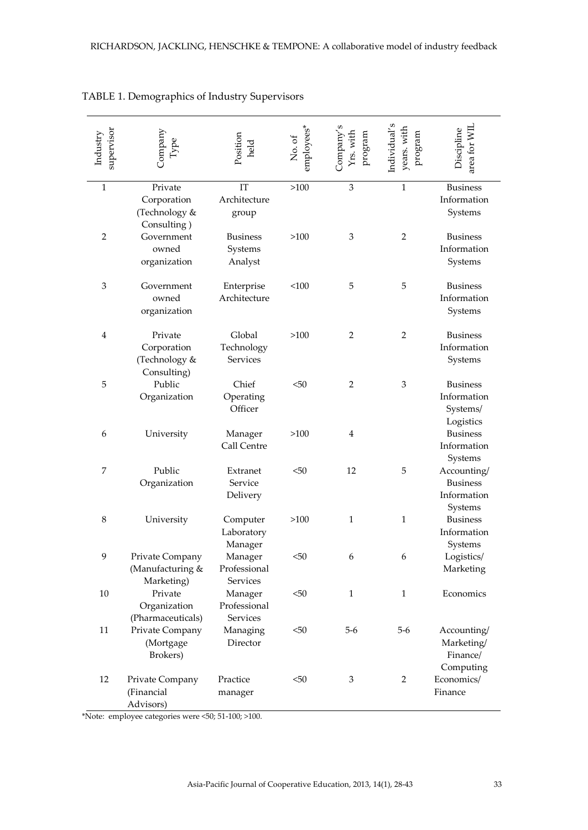| supervisor<br>Industry | Company                                                                                          | Position<br>held                      | employees*<br>No. of | Yrs. with<br>program<br>Jompany | years. with<br>Individual'<br>program | area for WIL<br>Discipline                               |
|------------------------|--------------------------------------------------------------------------------------------------|---------------------------------------|----------------------|---------------------------------|---------------------------------------|----------------------------------------------------------|
| $\mathbf{1}$           | Private<br>Corporation<br>(Technology &<br>Consulting)                                           | IT<br>Architecture<br>group           | >100                 | 3                               | $\mathbf{1}$                          | <b>Business</b><br>Information<br>Systems                |
| 2                      | Government<br>owned<br>organization                                                              | <b>Business</b><br>Systems<br>Analyst | >100                 | 3                               | 2                                     | <b>Business</b><br>Information<br>Systems                |
| 3                      | Government<br>owned<br>organization                                                              | Enterprise<br>Architecture            | <100                 | 5                               | 5                                     | <b>Business</b><br>Information<br>Systems                |
| 4                      | Private<br>Corporation<br>(Technology &<br>Consulting)                                           | Global<br>Technology<br>Services      | >100                 | $\overline{2}$                  | 2                                     | <b>Business</b><br>Information<br>Systems                |
| 5                      | Public<br>Organization                                                                           | Chief<br>Operating<br>Officer         | $50$                 | $\overline{2}$                  | 3                                     | <b>Business</b><br>Information<br>Systems/<br>Logistics  |
| 6                      | University                                                                                       | Manager<br>Call Centre                | >100                 | 4                               |                                       | <b>Business</b><br>Information<br>Systems                |
| 7                      | Public<br>Organization                                                                           | Extranet<br>Service<br>Delivery       | $50$                 | 12                              | 5                                     | Accounting/<br><b>Business</b><br>Information<br>Systems |
| 8                      | University                                                                                       | Computer<br>Laboratory<br>Manager     | >100                 | $\mathbf{1}$                    | $\mathbf{1}$                          | <b>Business</b><br>Information<br>Systems                |
| 9                      | Private Company<br>(Manufacturing &<br>Marketing)                                                | Manager<br>Professional<br>Services   | $50$                 | 6                               | 6                                     | Logistics/<br>Marketing                                  |
| 10                     | Private<br>Organization<br>(Pharmaceuticals)                                                     | Manager<br>Professional<br>Services   | $50$                 | 1                               | 1                                     | Economics                                                |
| 11                     | Private Company<br>(Mortgage<br>Brokers)                                                         | Managing<br>Director                  | <50                  | $5 - 6$                         | 5-6                                   | Accounting/<br>Marketing/<br>Finance/<br>Computing       |
| 12                     | Private Company<br>(Financial<br>Advisors)<br>*Note: employee categories were <50; 51-100; >100. | Practice<br>manager                   | < 50                 | 3                               | $\overline{2}$                        | Economics/<br>Finance                                    |

### TABLE 1. Demographics of Industry Supervisors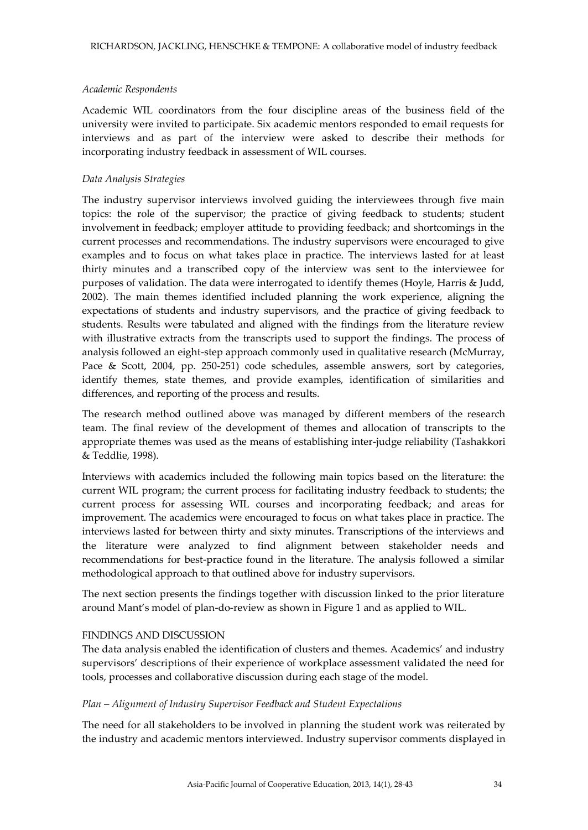### *Academic Respondents*

Academic WIL coordinators from the four discipline areas of the business field of the university were invited to participate. Six academic mentors responded to email requests for interviews and as part of the interview were asked to describe their methods for incorporating industry feedback in assessment of WIL courses.

### *Data Analysis Strategies*

The industry supervisor interviews involved guiding the interviewees through five main topics: the role of the supervisor; the practice of giving feedback to students; student involvement in feedback; employer attitude to providing feedback; and shortcomings in the current processes and recommendations. The industry supervisors were encouraged to give examples and to focus on what takes place in practice. The interviews lasted for at least thirty minutes and a transcribed copy of the interview was sent to the interviewee for purposes of validation. The data were interrogated to identify themes (Hoyle, Harris & Judd, 2002). The main themes identified included planning the work experience, aligning the expectations of students and industry supervisors, and the practice of giving feedback to students. Results were tabulated and aligned with the findings from the literature review with illustrative extracts from the transcripts used to support the findings. The process of analysis followed an eight-step approach commonly used in qualitative research (McMurray, Pace & Scott, 2004, pp. 250-251) code schedules, assemble answers, sort by categories, identify themes, state themes, and provide examples, identification of similarities and differences, and reporting of the process and results.

The research method outlined above was managed by different members of the research team. The final review of the development of themes and allocation of transcripts to the appropriate themes was used as the means of establishing inter-judge reliability (Tashakkori & Teddlie, 1998).

Interviews with academics included the following main topics based on the literature: the current WIL program; the current process for facilitating industry feedback to students; the current process for assessing WIL courses and incorporating feedback; and areas for improvement. The academics were encouraged to focus on what takes place in practice. The interviews lasted for between thirty and sixty minutes. Transcriptions of the interviews and the literature were analyzed to find alignment between stakeholder needs and recommendations for best-practice found in the literature. The analysis followed a similar methodological approach to that outlined above for industry supervisors.

The next section presents the findings together with discussion linked to the prior literature around Mant's model of plan-do-review as shown in Figure 1 and as applied to WIL.

### FINDINGS AND DISCUSSION

The data analysis enabled the identification of clusters and themes. Academics' and industry supervisors' descriptions of their experience of workplace assessment validated the need for tools, processes and collaborative discussion during each stage of the model.

### *Plan – Alignment of Industry Supervisor Feedback and Student Expectations*

The need for all stakeholders to be involved in planning the student work was reiterated by the industry and academic mentors interviewed. Industry supervisor comments displayed in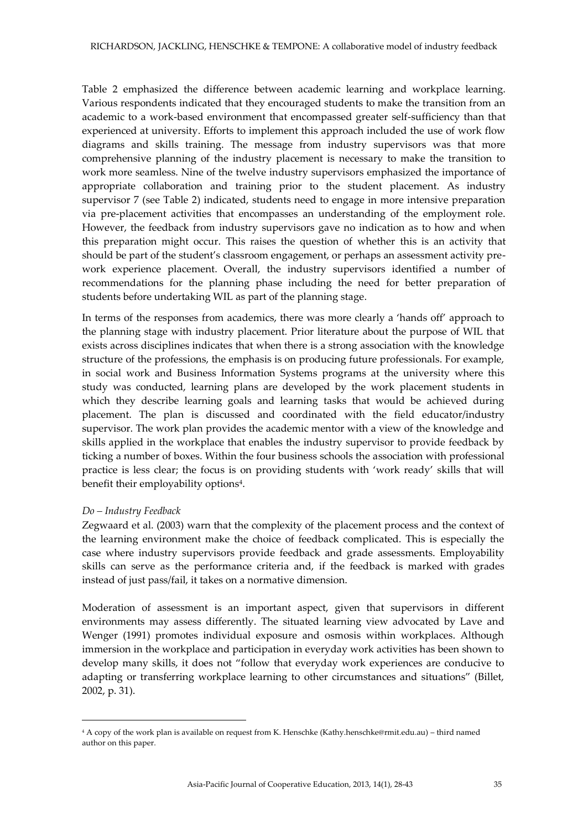Table 2 emphasized the difference between academic learning and workplace learning. Various respondents indicated that they encouraged students to make the transition from an academic to a work-based environment that encompassed greater self-sufficiency than that experienced at university. Efforts to implement this approach included the use of work flow diagrams and skills training. The message from industry supervisors was that more comprehensive planning of the industry placement is necessary to make the transition to work more seamless. Nine of the twelve industry supervisors emphasized the importance of appropriate collaboration and training prior to the student placement. As industry supervisor 7 (see Table 2) indicated, students need to engage in more intensive preparation via pre-placement activities that encompasses an understanding of the employment role. However, the feedback from industry supervisors gave no indication as to how and when this preparation might occur. This raises the question of whether this is an activity that should be part of the student's classroom engagement, or perhaps an assessment activity prework experience placement. Overall, the industry supervisors identified a number of recommendations for the planning phase including the need for better preparation of students before undertaking WIL as part of the planning stage.

In terms of the responses from academics, there was more clearly a 'hands off' approach to the planning stage with industry placement. Prior literature about the purpose of WIL that exists across disciplines indicates that when there is a strong association with the knowledge structure of the professions, the emphasis is on producing future professionals. For example, in social work and Business Information Systems programs at the university where this study was conducted, learning plans are developed by the work placement students in which they describe learning goals and learning tasks that would be achieved during placement. The plan is discussed and coordinated with the field educator/industry supervisor. The work plan provides the academic mentor with a view of the knowledge and skills applied in the workplace that enables the industry supervisor to provide feedback by ticking a number of boxes. Within the four business schools the association with professional practice is less clear; the focus is on providing students with 'work ready' skills that will benefit their employability options<sup>4</sup>.

#### *Do – Industry Feedback*

 $\overline{a}$ 

Zegwaard et al. (2003) warn that the complexity of the placement process and the context of the learning environment make the choice of feedback complicated. This is especially the case where industry supervisors provide feedback and grade assessments. Employability skills can serve as the performance criteria and, if the feedback is marked with grades instead of just pass/fail, it takes on a normative dimension.

Moderation of assessment is an important aspect, given that supervisors in different environments may assess differently. The situated learning view advocated by Lave and Wenger (1991) promotes individual exposure and osmosis within workplaces. Although immersion in the workplace and participation in everyday work activities has been shown to develop many skills, it does not "follow that everyday work experiences are conducive to adapting or transferring workplace learning to other circumstances and situations" (Billet, 2002, p. 31).

<sup>4</sup> A copy of the work plan is available on request from K. Henschke (Kathy.henschke@rmit.edu.au) – third named author on this paper.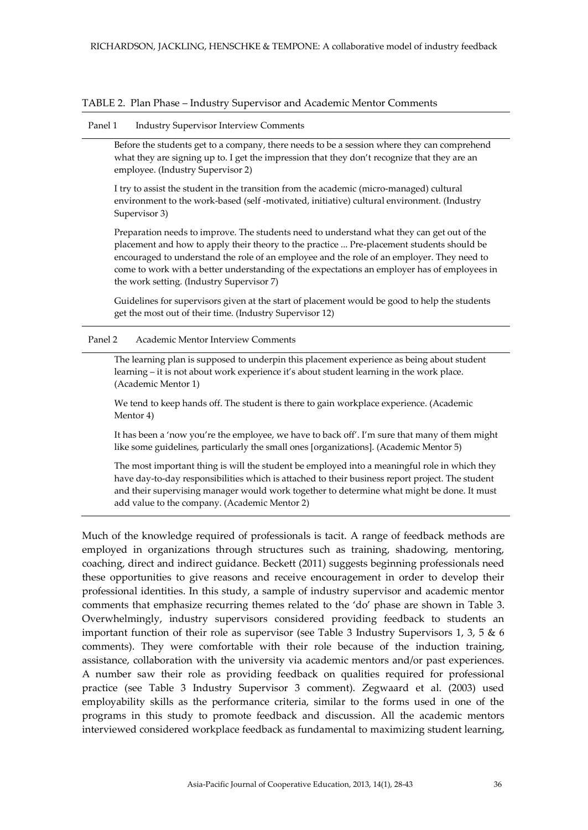#### TABLE 2. Plan Phase – Industry Supervisor and Academic Mentor Comments

#### Panel 1 Industry Supervisor Interview Comments

Before the students get to a company, there needs to be a session where they can comprehend what they are signing up to. I get the impression that they don't recognize that they are an employee. (Industry Supervisor 2)

I try to assist the student in the transition from the academic (micro-managed) cultural environment to the work-based (self -motivated, initiative) cultural environment. (Industry Supervisor 3)

Preparation needs to improve. The students need to understand what they can get out of the placement and how to apply their theory to the practice ... Pre-placement students should be encouraged to understand the role of an employee and the role of an employer. They need to come to work with a better understanding of the expectations an employer has of employees in the work setting. (Industry Supervisor 7)

Guidelines for supervisors given at the start of placement would be good to help the students get the most out of their time. (Industry Supervisor 12)

#### Panel 2 Academic Mentor Interview Comments

The learning plan is supposed to underpin this placement experience as being about student learning – it is not about work experience it's about student learning in the work place. (Academic Mentor 1)

We tend to keep hands off. The student is there to gain workplace experience. (Academic Mentor 4)

It has been a 'now you're the employee, we have to back off'. I'm sure that many of them might like some guidelines, particularly the small ones [organizations]. (Academic Mentor 5)

The most important thing is will the student be employed into a meaningful role in which they have day-to-day responsibilities which is attached to their business report project. The student and their supervising manager would work together to determine what might be done. It must add value to the company. (Academic Mentor 2)

Much of the knowledge required of professionals is tacit. A range of feedback methods are employed in organizations through structures such as training, shadowing, mentoring, coaching, direct and indirect guidance. Beckett (2011) suggests beginning professionals need these opportunities to give reasons and receive encouragement in order to develop their professional identities. In this study, a sample of industry supervisor and academic mentor comments that emphasize recurring themes related to the 'do' phase are shown in Table 3. Overwhelmingly, industry supervisors considered providing feedback to students an important function of their role as supervisor (see Table 3 Industry Supervisors 1, 3, 5  $\&$  6 comments). They were comfortable with their role because of the induction training, assistance, collaboration with the university via academic mentors and/or past experiences. A number saw their role as providing feedback on qualities required for professional practice (see Table 3 Industry Supervisor 3 comment). Zegwaard et al. (2003) used employability skills as the performance criteria, similar to the forms used in one of the programs in this study to promote feedback and discussion. All the academic mentors interviewed considered workplace feedback as fundamental to maximizing student learning,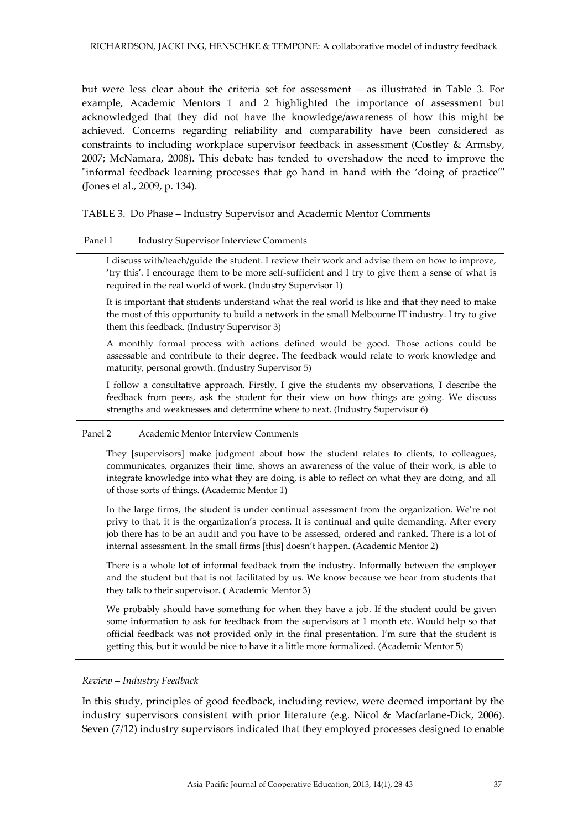but were less clear about the criteria set for assessment – as illustrated in Table 3. For example, Academic Mentors 1 and 2 highlighted the importance of assessment but acknowledged that they did not have the knowledge/awareness of how this might be achieved. Concerns regarding reliability and comparability have been considered as constraints to including workplace supervisor feedback in assessment (Costley & Armsby, 2007; McNamara, 2008). This debate has tended to overshadow the need to improve the "informal feedback learning processes that go hand in hand with the 'doing of practice'" (Jones et al., 2009, p. 134).

#### TABLE 3. Do Phase – Industry Supervisor and Academic Mentor Comments

#### Panel 1 Industry Supervisor Interview Comments

I discuss with/teach/guide the student. I review their work and advise them on how to improve, 'try this'. I encourage them to be more self-sufficient and I try to give them a sense of what is required in the real world of work. (Industry Supervisor 1)

It is important that students understand what the real world is like and that they need to make the most of this opportunity to build a network in the small Melbourne IT industry. I try to give them this feedback. (Industry Supervisor 3)

A monthly formal process with actions defined would be good. Those actions could be assessable and contribute to their degree. The feedback would relate to work knowledge and maturity, personal growth. (Industry Supervisor 5)

I follow a consultative approach. Firstly, I give the students my observations, I describe the feedback from peers, ask the student for their view on how things are going. We discuss strengths and weaknesses and determine where to next. (Industry Supervisor 6)

#### Panel 2 Academic Mentor Interview Comments

They [supervisors] make judgment about how the student relates to clients, to colleagues, communicates, organizes their time, shows an awareness of the value of their work, is able to integrate knowledge into what they are doing, is able to reflect on what they are doing, and all of those sorts of things. (Academic Mentor 1)

In the large firms, the student is under continual assessment from the organization. We're not privy to that, it is the organization's process. It is continual and quite demanding. After every job there has to be an audit and you have to be assessed, ordered and ranked. There is a lot of internal assessment. In the small firms [this] doesn't happen. (Academic Mentor 2)

There is a whole lot of informal feedback from the industry. Informally between the employer and the student but that is not facilitated by us. We know because we hear from students that they talk to their supervisor. ( Academic Mentor 3)

We probably should have something for when they have a job. If the student could be given some information to ask for feedback from the supervisors at 1 month etc. Would help so that official feedback was not provided only in the final presentation. I'm sure that the student is getting this, but it would be nice to have it a little more formalized. (Academic Mentor 5)

#### *Review – Industry Feedback*

In this study, principles of good feedback, including review, were deemed important by the industry supervisors consistent with prior literature (e.g. Nicol & Macfarlane-Dick, 2006). Seven (7/12) industry supervisors indicated that they employed processes designed to enable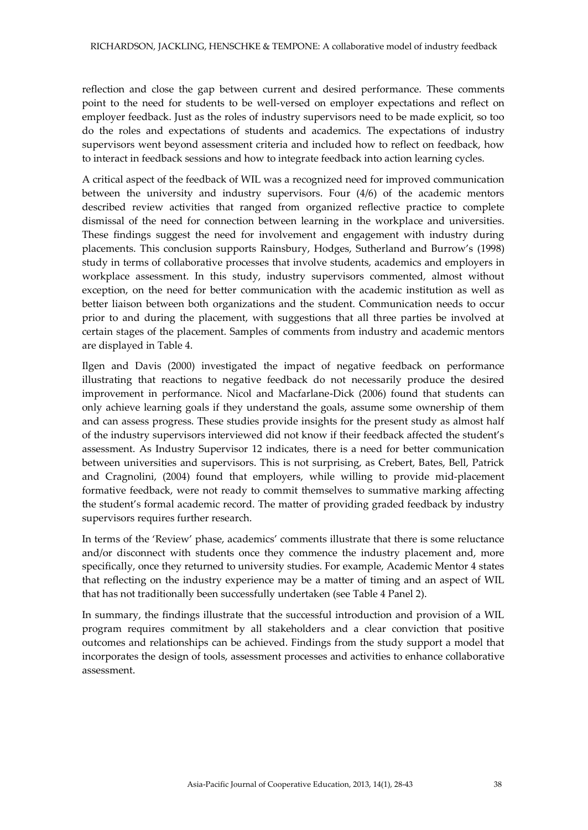reflection and close the gap between current and desired performance. These comments point to the need for students to be well-versed on employer expectations and reflect on employer feedback. Just as the roles of industry supervisors need to be made explicit, so too do the roles and expectations of students and academics. The expectations of industry supervisors went beyond assessment criteria and included how to reflect on feedback, how to interact in feedback sessions and how to integrate feedback into action learning cycles.

A critical aspect of the feedback of WIL was a recognized need for improved communication between the university and industry supervisors. Four (4/6) of the academic mentors described review activities that ranged from organized reflective practice to complete dismissal of the need for connection between learning in the workplace and universities. These findings suggest the need for involvement and engagement with industry during placements. This conclusion supports Rainsbury, Hodges, Sutherland and Burrow's (1998) study in terms of collaborative processes that involve students, academics and employers in workplace assessment. In this study, industry supervisors commented, almost without exception, on the need for better communication with the academic institution as well as better liaison between both organizations and the student. Communication needs to occur prior to and during the placement, with suggestions that all three parties be involved at certain stages of the placement. Samples of comments from industry and academic mentors are displayed in Table 4.

Ilgen and Davis (2000) investigated the impact of negative feedback on performance illustrating that reactions to negative feedback do not necessarily produce the desired improvement in performance. Nicol and Macfarlane-Dick (2006) found that students can only achieve learning goals if they understand the goals, assume some ownership of them and can assess progress. These studies provide insights for the present study as almost half of the industry supervisors interviewed did not know if their feedback affected the student's assessment. As Industry Supervisor 12 indicates, there is a need for better communication between universities and supervisors. This is not surprising, as Crebert, Bates, Bell, Patrick and Cragnolini, (2004) found that employers, while willing to provide mid-placement formative feedback, were not ready to commit themselves to summative marking affecting the student's formal academic record. The matter of providing graded feedback by industry supervisors requires further research.

In terms of the 'Review' phase, academics' comments illustrate that there is some reluctance and/or disconnect with students once they commence the industry placement and, more specifically, once they returned to university studies. For example, Academic Mentor 4 states that reflecting on the industry experience may be a matter of timing and an aspect of WIL that has not traditionally been successfully undertaken (see Table 4 Panel 2).

In summary, the findings illustrate that the successful introduction and provision of a WIL program requires commitment by all stakeholders and a clear conviction that positive outcomes and relationships can be achieved. Findings from the study support a model that incorporates the design of tools, assessment processes and activities to enhance collaborative assessment.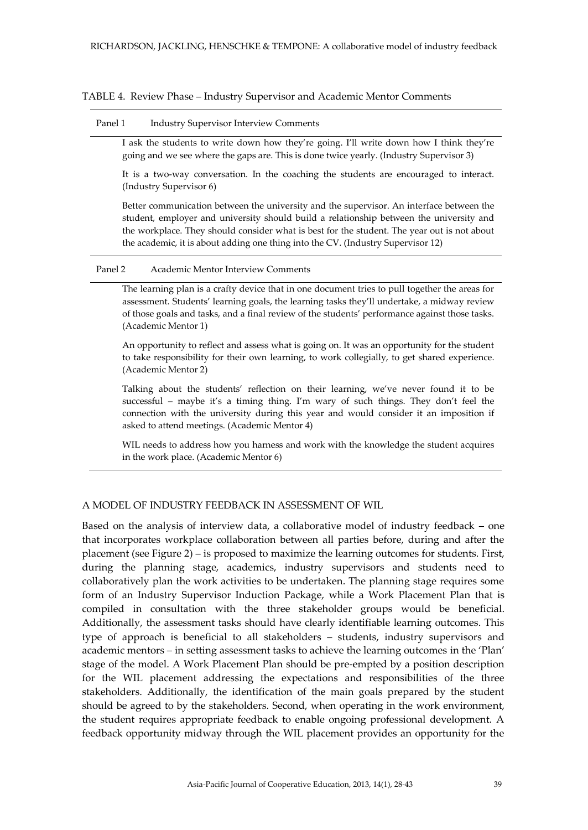TABLE 4. Review Phase – Industry Supervisor and Academic Mentor Comments

#### Panel 1 Industry Supervisor Interview Comments

I ask the students to write down how they're going. I'll write down how I think they're going and we see where the gaps are. This is done twice yearly. (Industry Supervisor 3)

It is a two-way conversation. In the coaching the students are encouraged to interact. (Industry Supervisor 6)

Better communication between the university and the supervisor. An interface between the student, employer and university should build a relationship between the university and the workplace. They should consider what is best for the student. The year out is not about the academic, it is about adding one thing into the CV. (Industry Supervisor 12)

#### Panel 2 Academic Mentor Interview Comments

The learning plan is a crafty device that in one document tries to pull together the areas for assessment. Students' learning goals, the learning tasks they'll undertake, a midway review of those goals and tasks, and a final review of the students' performance against those tasks. (Academic Mentor 1)

An opportunity to reflect and assess what is going on. It was an opportunity for the student to take responsibility for their own learning, to work collegially, to get shared experience. (Academic Mentor 2)

Talking about the students' reflection on their learning, we've never found it to be successful – maybe it's a timing thing. I'm wary of such things. They don't feel the connection with the university during this year and would consider it an imposition if asked to attend meetings. (Academic Mentor 4)

WIL needs to address how you harness and work with the knowledge the student acquires in the work place. (Academic Mentor 6)

### A MODEL OF INDUSTRY FEEDBACK IN ASSESSMENT OF WIL

Based on the analysis of interview data, a collaborative model of industry feedback – one that incorporates workplace collaboration between all parties before, during and after the placement (see Figure 2) – is proposed to maximize the learning outcomes for students. First, during the planning stage, academics, industry supervisors and students need to collaboratively plan the work activities to be undertaken. The planning stage requires some form of an Industry Supervisor Induction Package, while a Work Placement Plan that is compiled in consultation with the three stakeholder groups would be beneficial. Additionally, the assessment tasks should have clearly identifiable learning outcomes. This type of approach is beneficial to all stakeholders – students, industry supervisors and academic mentors – in setting assessment tasks to achieve the learning outcomes in the 'Plan' stage of the model. A Work Placement Plan should be pre-empted by a position description for the WIL placement addressing the expectations and responsibilities of the three stakeholders. Additionally, the identification of the main goals prepared by the student should be agreed to by the stakeholders. Second, when operating in the work environment, the student requires appropriate feedback to enable ongoing professional development. A feedback opportunity midway through the WIL placement provides an opportunity for the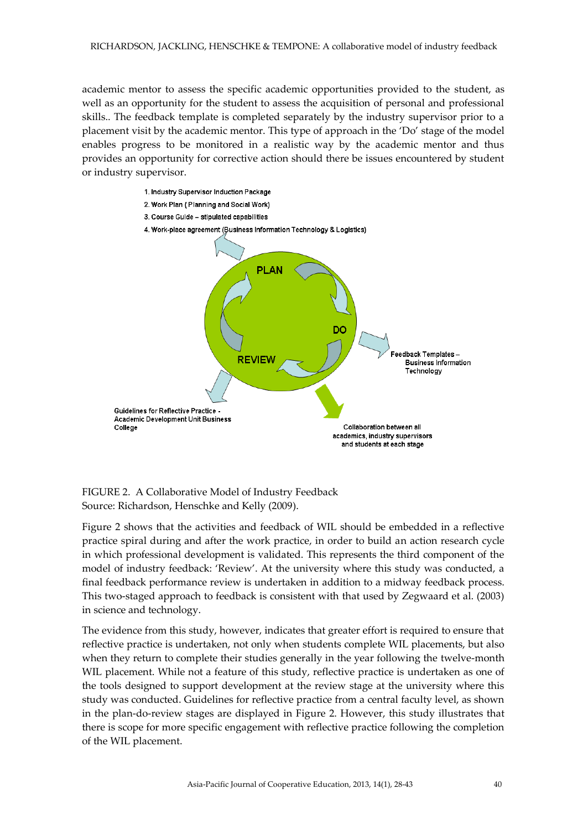academic mentor to assess the specific academic opportunities provided to the student, as well as an opportunity for the student to assess the acquisition of personal and professional skills.. The feedback template is completed separately by the industry supervisor prior to a placement visit by the academic mentor. This type of approach in the 'Do' stage of the model enables progress to be monitored in a realistic way by the academic mentor and thus provides an opportunity for corrective action should there be issues encountered by student or industry supervisor.



FIGURE 2. A Collaborative Model of Industry Feedback Source: Richardson, Henschke and Kelly (2009).

Figure 2 shows that the activities and feedback of WIL should be embedded in a reflective practice spiral during and after the work practice, in order to build an action research cycle in which professional development is validated. This represents the third component of the model of industry feedback: 'Review'. At the university where this study was conducted, a final feedback performance review is undertaken in addition to a midway feedback process. This two-staged approach to feedback is consistent with that used by Zegwaard et al. (2003) in science and technology.

The evidence from this study, however, indicates that greater effort is required to ensure that reflective practice is undertaken, not only when students complete WIL placements, but also when they return to complete their studies generally in the year following the twelve-month WIL placement. While not a feature of this study, reflective practice is undertaken as one of the tools designed to support development at the review stage at the university where this study was conducted. Guidelines for reflective practice from a central faculty level, as shown in the plan-do-review stages are displayed in Figure 2. However, this study illustrates that there is scope for more specific engagement with reflective practice following the completion of the WIL placement.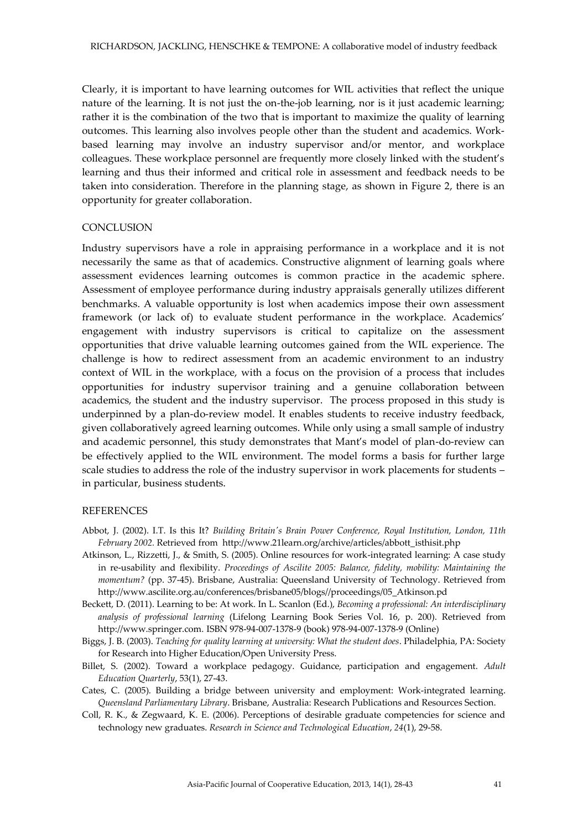Clearly, it is important to have learning outcomes for WIL activities that reflect the unique nature of the learning. It is not just the on-the-job learning, nor is it just academic learning; rather it is the combination of the two that is important to maximize the quality of learning outcomes. This learning also involves people other than the student and academics. Workbased learning may involve an industry supervisor and/or mentor, and workplace colleagues. These workplace personnel are frequently more closely linked with the student's learning and thus their informed and critical role in assessment and feedback needs to be taken into consideration. Therefore in the planning stage, as shown in Figure 2, there is an opportunity for greater collaboration.

#### **CONCLUSION**

Industry supervisors have a role in appraising performance in a workplace and it is not necessarily the same as that of academics. Constructive alignment of learning goals where assessment evidences learning outcomes is common practice in the academic sphere. Assessment of employee performance during industry appraisals generally utilizes different benchmarks. A valuable opportunity is lost when academics impose their own assessment framework (or lack of) to evaluate student performance in the workplace. Academics' engagement with industry supervisors is critical to capitalize on the assessment opportunities that drive valuable learning outcomes gained from the WIL experience. The challenge is how to redirect assessment from an academic environment to an industry context of WIL in the workplace, with a focus on the provision of a process that includes opportunities for industry supervisor training and a genuine collaboration between academics, the student and the industry supervisor. The process proposed in this study is underpinned by a plan-do-review model. It enables students to receive industry feedback, given collaboratively agreed learning outcomes. While only using a small sample of industry and academic personnel, this study demonstrates that Mant's model of plan-do-review can be effectively applied to the WIL environment. The model forms a basis for further large scale studies to address the role of the industry supervisor in work placements for students – in particular, business students.

#### **REFERENCES**

- Abbot, J. (2002). I.T. Is this It? *Building Britain's Brain Power Conference, Royal Institution, London, 11th February 2002.* Retrieved from http://www.21learn.org/archive/articles/abbott\_isthisit.php
- Atkinson, L., Rizzetti, J., & Smith, S. (2005). Online resources for work-integrated learning: A case study in re-usability and flexibility. *Proceedings of Ascilite 2005: Balance, fidelity, mobility: Maintaining the momentum?* (pp. 37-45). Brisbane, Australia: Queensland University of Technology. Retrieved from [http://www.ascilite.org.au/conferences/brisbane05/blogs//proceedings/05\\_Atkinson.pd](http://www.ascilite.org.au/conferences/brisbane05/blogs/proceedings/05_Atkinson.pd)
- Beckett, D. (2011). Learning to be: At work. In L. Scanlon (Ed.), *Becoming a professional: An interdisciplinary analysis of professional learning* (Lifelong Learning Book Series Vol. 16, p. 200). Retrieved from http://www.springer.com. ISBN 978-94-007-1378-9 (book) 978-94-007-1378-9 (Online)
- Biggs, J. B. (2003). *Teaching for quality learning at university: What the student does*. Philadelphia, PA: Society for Research into Higher Education/Open University Press.
- Billet, S. (2002). Toward a workplace pedagogy. Guidance, participation and engagement. *Adult Education Quarterly*, 53(1), 27-43.
- Cates, C. (2005). Building a bridge between university and employment: Work-integrated learning. *Queensland Parliamentary Library*. Brisbane, Australia: Research Publications and Resources Section.
- Coll, R. K., & Zegwaard, K. E. (2006). Perceptions of desirable graduate competencies for science and technology new graduates. *Research in Science and Technological Education*, *24*(1), 29-58.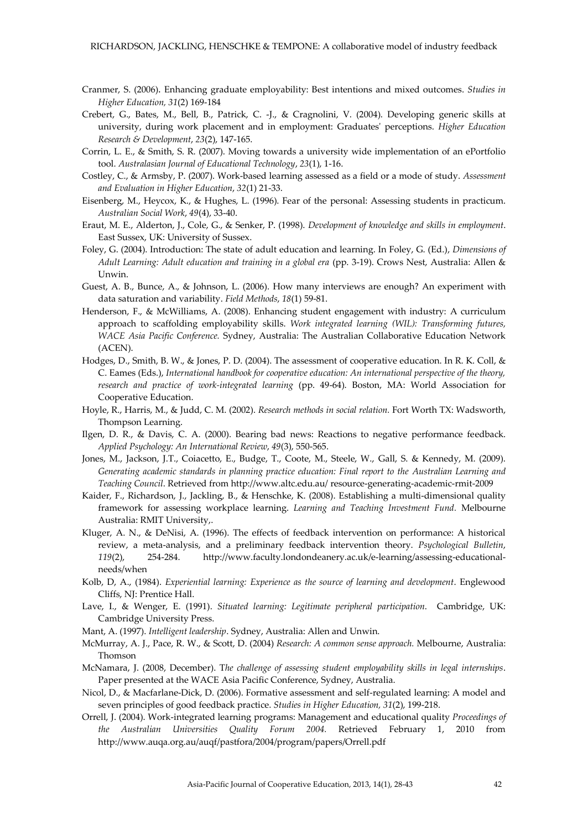- Cranmer, S. (2006). Enhancing graduate employability: Best intentions and mixed outcomes. *Studies in Higher Education, 31*(2) 169-184
- Crebert, G., Bates, M., Bell, B., Patrick, C. -J., & Cragnolini, V. (2004). Developing generic skills at university, during work placement and in employment: Graduates' perceptions. *Higher Education Research & Development*, *23*(2), 147-165.
- Corrin, L. E., & Smith, S. R. (2007). Moving towards a university wide implementation of an ePortfolio tool. *Australasian Journal of Educational Technology*, *23*(1), 1-16.
- Costley, C., & Armsby, P. (2007). Work-based learning assessed as a field or a mode of study. *Assessment and Evaluation in Higher Education*, *32*(1) 21-33.
- Eisenberg, M., Heycox, K., & Hughes, L. (1996). Fear of the personal: Assessing students in practicum. *Australian Social Work*, *49*(4), 33-40.
- Eraut, M. E., Alderton, J., Cole, G., & Senker, P. (1998). *Development of knowledge and skills in employment*. East Sussex, UK: University of Sussex.
- Foley, G. (2004). Introduction: The state of adult education and learning. In Foley, G. (Ed.), *Dimensions of Adult Learning: Adult education and training in a global era* (pp. 3-19). Crows Nest, Australia: Allen & Unwin.
- Guest, A. B., Bunce, A., & Johnson, L. (2006). How many interviews are enough? An experiment with data saturation and variability. *Field Methods*, *18*(1) 59-81.
- Henderson, F., & McWilliams, A. (2008). Enhancing student engagement with industry: A curriculum approach to scaffolding employability skills. *Work integrated learning (WIL): Transforming futures, WACE Asia Pacific Conference.* Sydney, Australia: The Australian Collaborative Education Network (ACEN).
- Hodges, D., Smith, B. W., & Jones, P. D. (2004). The assessment of cooperative education. In R. K. Coll, & C. Eames (Eds.), *International handbook for cooperative education: An international perspective of the theory, research and practice of work-integrated learning* (pp. 49-64). Boston, MA: World Association for Cooperative Education.
- Hoyle, R., Harris, M., & Judd, C. M. (2002). *Research methods in social relation.* Fort Worth TX: Wadsworth, Thompson Learning.
- Ilgen, D. R., & Davis, C. A. (2000). Bearing bad news: Reactions to negative performance feedback. *Applied Psychology: An International Review*, *49*(3), 550-565.
- Jones, M., Jackson, J.T., Coiacetto, E., Budge, T., Coote, M., Steele, W., Gall, S. & Kennedy, M. (2009). *Generating academic standards in planning practice education: Final report to the Australian Learning and Teaching Council*. Retrieved from http://www.altc.edu.au/ resource‐generating‐academic‐rmit‐2009
- Kaider, F., Richardson, J., Jackling, B., & Henschke, K. (2008). Establishing a multi-dimensional quality framework for assessing workplace learning. *Learning and Teaching Investment Fund.* Melbourne Australia: RMIT University,.
- Kluger, A. N., & DeNisi, A. (1996). The effects of feedback intervention on performance: A historical review, a meta-analysis, and a preliminary feedback intervention theory. *Psychological Bulletin*, *119*(2), 254-284. http://www.faculty.londondeanery.ac.uk/e-learning/assessing-educationalneeds/when
- Kolb, D, A., (1984). *Experiential learning: Experience as the source of learning and development*. Englewood Cliffs, NJ: Prentice Hall.
- Lave, I., & Wenger, E. (1991). *Situated learning: Legitimate peripheral participation*. Cambridge, UK: Cambridge University Press.
- Mant, A. (1997). *Intelligent leadership*. Sydney, Australia: Allen and Unwin.
- McMurray, A. J., Pace, R. W., & Scott, D. (2004) *Research: A common sense approach.* Melbourne, Australia: Thomson
- McNamara, J. (2008, December). T*he challenge of assessing student employability skills in legal internships*. Paper presented at the WACE Asia Pacific Conference, Sydney, Australia.
- Nicol, D., & Macfarlane-Dick, D. (2006). Formative assessment and self-regulated learning: A model and seven principles of good feedback practice. *Studies in Higher Education, 31*(2), 199-218.
- Orrell, J. (2004). Work-integrated learning programs: Management and educational quality *Proceedings of the Australian Universities Quality Forum 2004.* Retrieved February 1, 2010 from http://www.auqa.org.au/auqf/pastfora/2004/program/papers/Orrell.pdf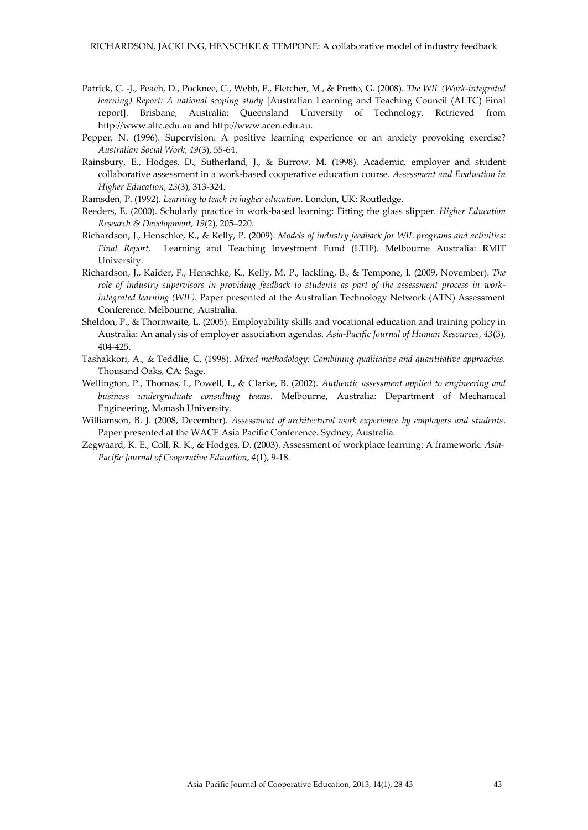- Patrick, C. -J., Peach, D., Pocknee, C., Webb, F., Fletcher, M., & Pretto, G. (2008). *The WIL (Work-integrated learning) Report: A national scoping study* [Australian Learning and Teaching Council (ALTC) Final report]. Brisbane, Australia: Queensland University of Technology. Retrieved from http://www.altc.edu.au and http://www.acen.edu.au.
- Pepper, N. (1996). Supervision: A positive learning experience or an anxiety provoking exercise? *Australian Social Work*, *49*(3), 55-64.
- Rainsbury, E., Hodges, D., Sutherland, J., & Burrow, M. (1998). Academic, employer and student collaborative assessment in a work-based cooperative education course. *Assessment and Evaluation in Higher Education*, *23*(3), 313-324.
- Ramsden, P. (1992). *Learning to teach in higher education*. London, UK: Routledge.
- Reeders, E. (2000). Scholarly practice in work-based learning: Fitting the glass slipper. *Higher Education Research & Development*, *19*(2), 205–220.
- Richardson, J., Henschke, K., & Kelly, P. (2009). *Models of industry feedback for WIL programs and activities: Final Report*.Learning and Teaching Investment Fund (LTIF). Melbourne Australia: RMIT University.
- Richardson, J., Kaider, F., Henschke, K., Kelly, M. P., Jackling, B., & Tempone, I. (2009, November). *The role of industry supervisors in providing feedback to students as part of the assessment process in workintegrated learning (WIL)*. Paper presented at the Australian Technology Network (ATN) Assessment Conference. Melbourne, Australia.
- Sheldon, P., & Thornwaite, L. (2005). Employability skills and vocational education and training policy in Australia: An analysis of employer association agendas. *Asia-Pacific Journal of Human Resources*, *43*(3), 404-425.
- Tashakkori, A., & Teddlie, C. (1998). *Mixed methodology: Combining qualitative and quantitative approaches.* Thousand Oaks, CA: Sage.
- Wellington, P., Thomas, I., Powell, I., & Clarke, B. (2002). *Authentic assessment applied to engineering and business undergraduate consulting teams*. Melbourne, Australia: Department of Mechanical Engineering, Monash University.
- Williamson, B. J. (2008, December). *Assessment of architectural work experience by employers and students*. Paper presented at the WACE Asia Pacific Conference*.* Sydney, Australia.
- Zegwaard, K. E., Coll, R. K., & Hodges, D. (2003). Assessment of workplace learning: A framework. *Asia-Pacific Journal of Cooperative Education*, *4*(1), 9-18.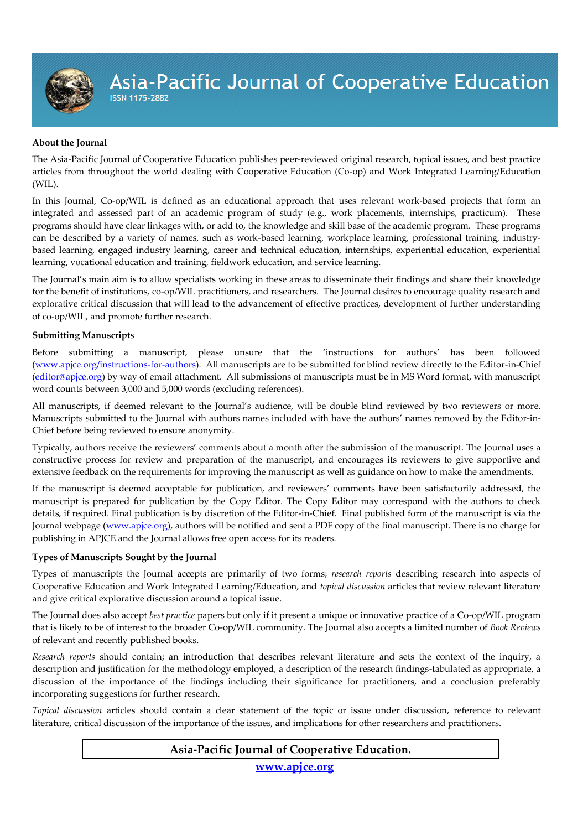Asia-Pacific Journal of Cooperative Education

#### **About the Journal**

The Asia-Pacific Journal of Cooperative Education publishes peer-reviewed original research, topical issues, and best practice articles from throughout the world dealing with Cooperative Education (Co-op) and Work Integrated Learning/Education (WIL).

In this Journal, Co-op/WIL is defined as an educational approach that uses relevant work-based projects that form an integrated and assessed part of an academic program of study (e.g., work placements, internships, practicum). These programs should have clear linkages with, or add to, the knowledge and skill base of the academic program. These programs can be described by a variety of names, such as work-based learning, workplace learning, professional training, industrybased learning, engaged industry learning, career and technical education, internships, experiential education, experiential learning, vocational education and training, fieldwork education, and service learning.

The Journal's main aim is to allow specialists working in these areas to disseminate their findings and share their knowledge for the benefit of institutions, co-op/WIL practitioners, and researchers. The Journal desires to encourage quality research and explorative critical discussion that will lead to the advancement of effective practices, development of further understanding of co-op/WIL, and promote further research.

#### **Submitting Manuscripts**

Before submitting a manuscript, please unsure that the 'instructions for authors' has been followed [\(www.apjce.org/instructions-for-authors\)](http://www.apjce.org/instructions-for-authors). All manuscripts are to be submitted for blind review directly to the Editor-in-Chief [\(editor@apjce.org\)](mailto:editor@apjce.org) by way of email attachment. All submissions of manuscripts must be in MS Word format, with manuscript word counts between 3,000 and 5,000 words (excluding references).

All manuscripts, if deemed relevant to the Journal's audience, will be double blind reviewed by two reviewers or more. Manuscripts submitted to the Journal with authors names included with have the authors' names removed by the Editor-in-Chief before being reviewed to ensure anonymity.

Typically, authors receive the reviewers' comments about a month after the submission of the manuscript. The Journal uses a constructive process for review and preparation of the manuscript, and encourages its reviewers to give supportive and extensive feedback on the requirements for improving the manuscript as well as guidance on how to make the amendments.

If the manuscript is deemed acceptable for publication, and reviewers' comments have been satisfactorily addressed, the manuscript is prepared for publication by the Copy Editor. The Copy Editor may correspond with the authors to check details, if required. Final publication is by discretion of the Editor-in-Chief. Final published form of the manuscript is via the Journal webpage [\(www.apjce.org\)](http://www.apjce.org/), authors will be notified and sent a PDF copy of the final manuscript. There is no charge for publishing in APJCE and the Journal allows free open access for its readers.

#### **Types of Manuscripts Sought by the Journal**

Types of manuscripts the Journal accepts are primarily of two forms; *research reports* describing research into aspects of Cooperative Education and Work Integrated Learning/Education, and *topical discussion* articles that review relevant literature and give critical explorative discussion around a topical issue.

The Journal does also accept *best practice* papers but only if it present a unique or innovative practice of a Co-op/WIL program that is likely to be of interest to the broader Co-op/WIL community. The Journal also accepts a limited number of *Book Reviews* of relevant and recently published books.

*Research reports* should contain; an introduction that describes relevant literature and sets the context of the inquiry, a description and justification for the methodology employed, a description of the research findings-tabulated as appropriate, a discussion of the importance of the findings including their significance for practitioners, and a conclusion preferably incorporating suggestions for further research.

*Topical discussion* articles should contain a clear statement of the topic or issue under discussion, reference to relevant literature, critical discussion of the importance of the issues, and implications for other researchers and practitioners.

### **Asia-Pacific Journal of Cooperative Education.**

**[www.apjce.org](http://www.apjce.org/)**